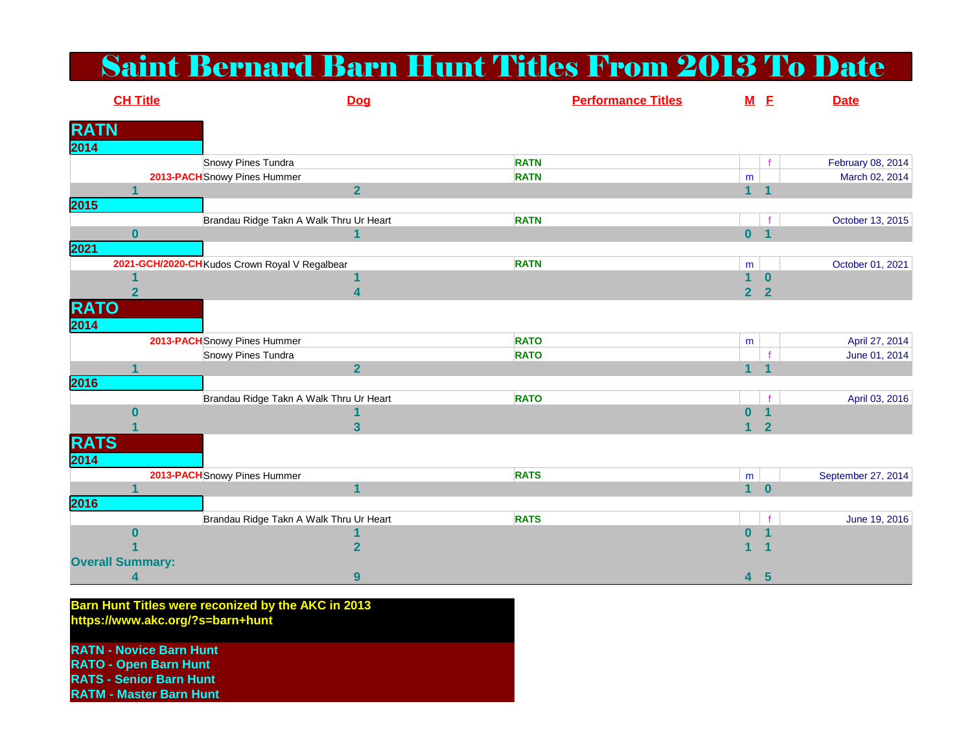## Saint Bernard Barn Hunt Titles From 2013 To Date

|                     | <b>CH Title</b>         |                                                | Dog                     |             | <b>Performance Titles</b> | $M$ E                   |                | <b>Date</b>        |
|---------------------|-------------------------|------------------------------------------------|-------------------------|-------------|---------------------------|-------------------------|----------------|--------------------|
| <b>RATN</b>         |                         |                                                |                         |             |                           |                         |                |                    |
| 2014                |                         |                                                |                         |             |                           |                         |                |                    |
|                     |                         | Snowy Pines Tundra                             |                         | <b>RATN</b> |                           |                         |                | February 08, 2014  |
|                     |                         | 2013-PACH Snowy Pines Hummer                   |                         | <b>RATN</b> |                           | m                       |                | March 02, 2014     |
|                     |                         |                                                | $\overline{2}$          |             |                           | $1 - 1$                 |                |                    |
| 2015                |                         |                                                |                         |             |                           |                         |                |                    |
|                     |                         | Brandau Ridge Takn A Walk Thru Ur Heart        |                         | <b>RATN</b> |                           |                         |                | October 13, 2015   |
|                     | O.                      |                                                | $\mathbf{1}$            |             |                           | $\overline{\mathbf{0}}$ | $\blacksquare$ |                    |
| 2021                |                         |                                                |                         |             |                           |                         |                |                    |
|                     |                         | 2021-GCH/2020-CH Kudos Crown Royal V Regalbear |                         | <b>RATN</b> |                           | m                       |                | October 01, 2021   |
|                     |                         |                                                | 1                       |             |                           | 1.                      | $\mathbf{0}$   |                    |
|                     | $\overline{2}$          |                                                | 4                       |             |                           | $\overline{2}$          | $\overline{2}$ |                    |
| <b>RATO</b>         |                         |                                                |                         |             |                           |                         |                |                    |
| 2014                |                         |                                                |                         |             |                           |                         |                |                    |
|                     |                         | 2013-PACH Snowy Pines Hummer                   |                         | <b>RATO</b> |                           | m                       |                | April 27, 2014     |
|                     |                         | Snowy Pines Tundra                             |                         | <b>RATO</b> |                           |                         |                | June 01, 2014      |
|                     |                         |                                                | $\overline{\mathbf{2}}$ |             |                           | 1                       |                |                    |
| 2016                |                         |                                                |                         |             |                           |                         |                |                    |
|                     |                         | Brandau Ridge Takn A Walk Thru Ur Heart        |                         | <b>RATO</b> |                           |                         |                | April 03, 2016     |
|                     | 0                       |                                                |                         |             |                           | O                       |                |                    |
|                     |                         |                                                | 3                       |             |                           |                         | $\overline{2}$ |                    |
| <b>RATS</b><br>2014 |                         |                                                |                         |             |                           |                         |                |                    |
|                     |                         | 2013-PACH Snowy Pines Hummer                   |                         | <b>RATS</b> |                           | ${\sf m}$               |                | September 27, 2014 |
|                     |                         |                                                | $\overline{\mathbf{1}}$ |             |                           | 1 <sup>1</sup>          | $\mathbf{0}$   |                    |
| 2016                |                         |                                                |                         |             |                           |                         |                |                    |
|                     |                         | Brandau Ridge Takn A Walk Thru Ur Heart        |                         | <b>RATS</b> |                           |                         |                | June 19, 2016      |
|                     | 0                       |                                                |                         |             |                           | $\bf{0}$                |                |                    |
|                     |                         |                                                | $\overline{\mathbf{2}}$ |             |                           |                         |                |                    |
|                     | <b>Overall Summary:</b> |                                                |                         |             |                           |                         |                |                    |
|                     | 4                       |                                                | 9                       |             |                           | 4                       | $5\phantom{1}$ |                    |

**Barn Hunt Titles were reconized by the AKC in 2013 https://www.akc.org/?s=barn+hunt**

**RATN - Novice Barn HuntRATO - Open Barn HuntRATS - Senior Barn Hunt**

**RATM - Master Barn Hunt**